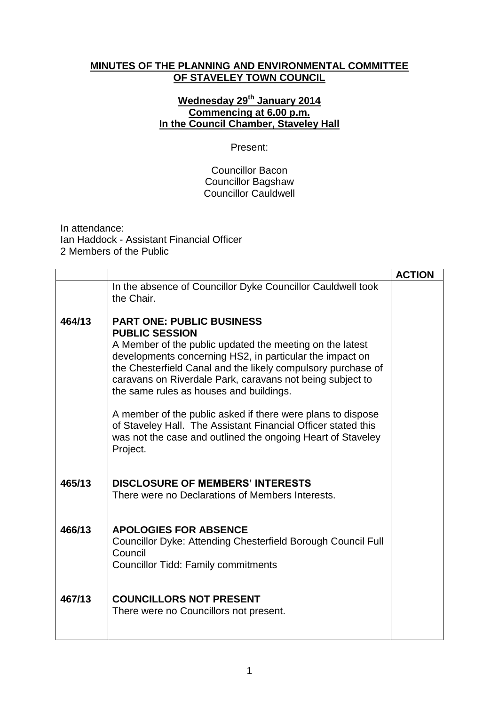## **MINUTES OF THE PLANNING AND ENVIRONMENTAL COMMITTEE OF STAVELEY TOWN COUNCIL**

## **Wednesday 29th January 2014 Commencing at 6.00 p.m. In the Council Chamber, Staveley Hall**

## Present:

Councillor Bacon Councillor Bagshaw Councillor Cauldwell

In attendance: Ian Haddock - Assistant Financial Officer 2 Members of the Public

|        |                                                                                                                                                                                                                                                                                                                                                                                                                                                                                                                                                                      | <b>ACTION</b> |
|--------|----------------------------------------------------------------------------------------------------------------------------------------------------------------------------------------------------------------------------------------------------------------------------------------------------------------------------------------------------------------------------------------------------------------------------------------------------------------------------------------------------------------------------------------------------------------------|---------------|
|        | In the absence of Councillor Dyke Councillor Cauldwell took<br>the Chair.                                                                                                                                                                                                                                                                                                                                                                                                                                                                                            |               |
| 464/13 | <b>PART ONE: PUBLIC BUSINESS</b><br><b>PUBLIC SESSION</b><br>A Member of the public updated the meeting on the latest<br>developments concerning HS2, in particular the impact on<br>the Chesterfield Canal and the likely compulsory purchase of<br>caravans on Riverdale Park, caravans not being subject to<br>the same rules as houses and buildings.<br>A member of the public asked if there were plans to dispose<br>of Staveley Hall. The Assistant Financial Officer stated this<br>was not the case and outlined the ongoing Heart of Staveley<br>Project. |               |
| 465/13 | <b>DISCLOSURE OF MEMBERS' INTERESTS</b><br>There were no Declarations of Members Interests.                                                                                                                                                                                                                                                                                                                                                                                                                                                                          |               |
| 466/13 | <b>APOLOGIES FOR ABSENCE</b><br>Councillor Dyke: Attending Chesterfield Borough Council Full<br>Council<br><b>Councillor Tidd: Family commitments</b>                                                                                                                                                                                                                                                                                                                                                                                                                |               |
| 467/13 | <b>COUNCILLORS NOT PRESENT</b><br>There were no Councillors not present.                                                                                                                                                                                                                                                                                                                                                                                                                                                                                             |               |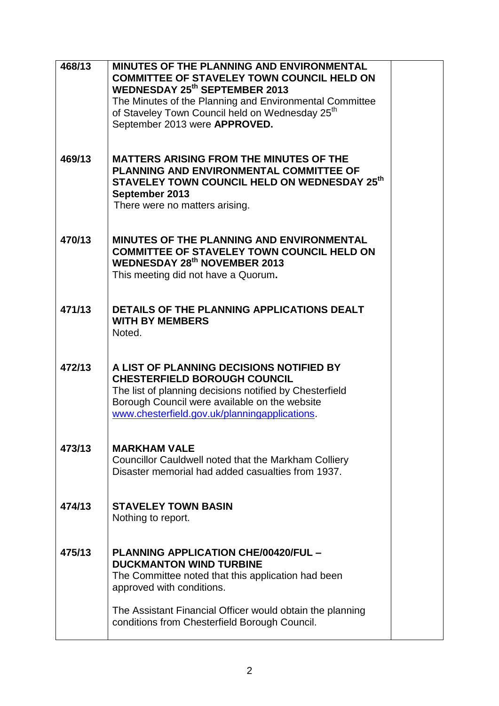| 468/13 | <b>MINUTES OF THE PLANNING AND ENVIRONMENTAL</b><br><b>COMMITTEE OF STAVELEY TOWN COUNCIL HELD ON</b><br><b>WEDNESDAY 25th SEPTEMBER 2013</b><br>The Minutes of the Planning and Environmental Committee<br>of Staveley Town Council held on Wednesday 25 <sup>th</sup><br>September 2013 were APPROVED. |  |
|--------|----------------------------------------------------------------------------------------------------------------------------------------------------------------------------------------------------------------------------------------------------------------------------------------------------------|--|
| 469/13 | <b>MATTERS ARISING FROM THE MINUTES OF THE</b><br>PLANNING AND ENVIRONMENTAL COMMITTEE OF<br>STAVELEY TOWN COUNCIL HELD ON WEDNESDAY 25th<br>September 2013<br>There were no matters arising.                                                                                                            |  |
| 470/13 | <b>MINUTES OF THE PLANNING AND ENVIRONMENTAL</b><br><b>COMMITTEE OF STAVELEY TOWN COUNCIL HELD ON</b><br><b>WEDNESDAY 28th NOVEMBER 2013</b><br>This meeting did not have a Quorum.                                                                                                                      |  |
| 471/13 | DETAILS OF THE PLANNING APPLICATIONS DEALT<br><b>WITH BY MEMBERS</b><br>Noted.                                                                                                                                                                                                                           |  |
| 472/13 | A LIST OF PLANNING DECISIONS NOTIFIED BY<br><b>CHESTERFIELD BOROUGH COUNCIL</b><br>The list of planning decisions notified by Chesterfield<br>Borough Council were available on the website<br>www.chesterfield.gov.uk/planningapplications.                                                             |  |
| 473/13 | <b>MARKHAM VALE</b><br>Councillor Cauldwell noted that the Markham Colliery<br>Disaster memorial had added casualties from 1937.                                                                                                                                                                         |  |
| 474/13 | <b>STAVELEY TOWN BASIN</b><br>Nothing to report.                                                                                                                                                                                                                                                         |  |
| 475/13 | <b>PLANNING APPLICATION CHE/00420/FUL -</b><br><b>DUCKMANTON WIND TURBINE</b><br>The Committee noted that this application had been<br>approved with conditions.                                                                                                                                         |  |
|        | The Assistant Financial Officer would obtain the planning<br>conditions from Chesterfield Borough Council.                                                                                                                                                                                               |  |